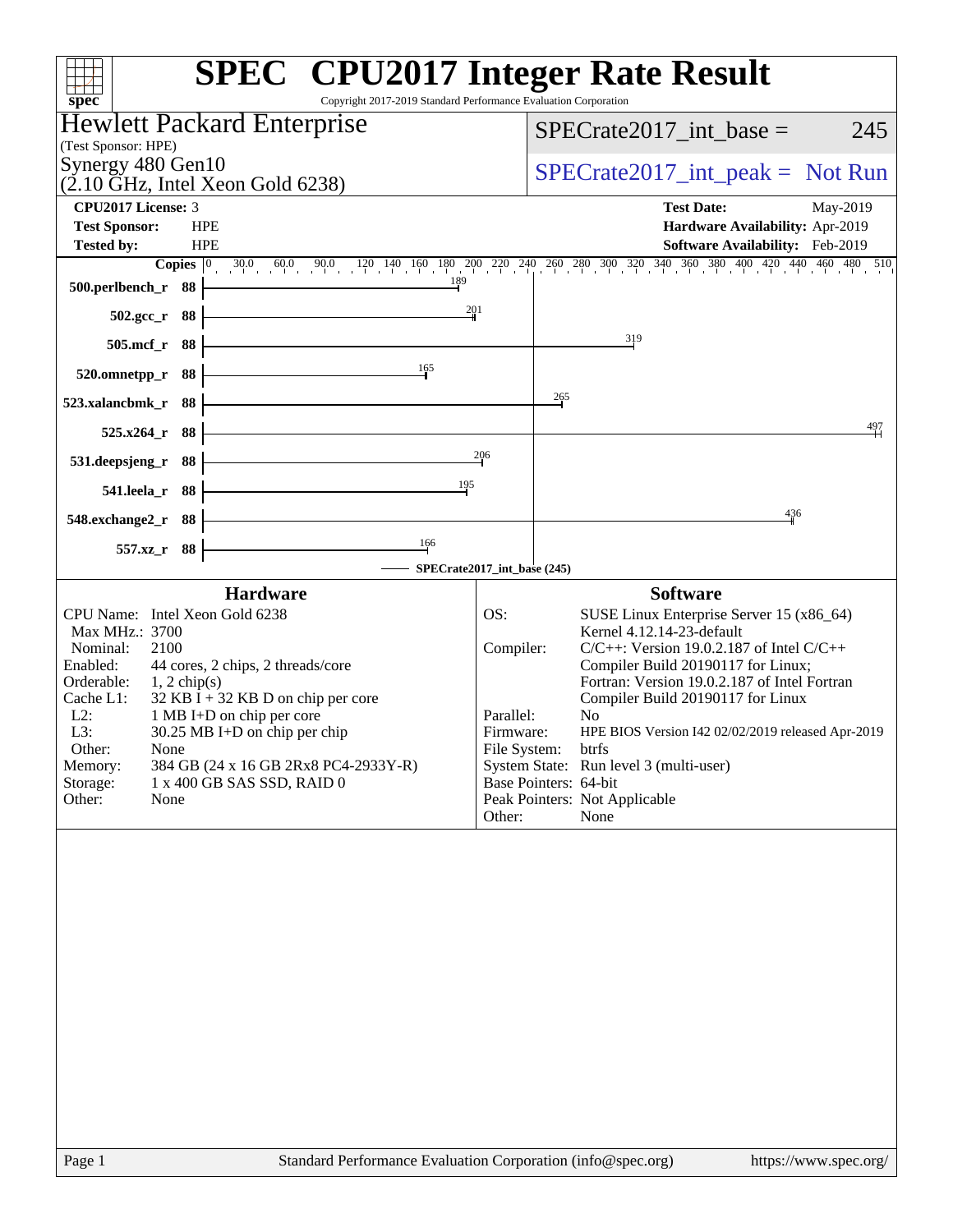| <b>SPEC<sup>®</sup></b> CPU2017 Integer Rate Result<br>spec <sup>®</sup><br>Copyright 2017-2019 Standard Performance Evaluation Corporation                                                                                                                                                                                                                                                                                                   |                                                                      |                                                                                                                                                                                                                                                                                                                                                                                                                                                      |
|-----------------------------------------------------------------------------------------------------------------------------------------------------------------------------------------------------------------------------------------------------------------------------------------------------------------------------------------------------------------------------------------------------------------------------------------------|----------------------------------------------------------------------|------------------------------------------------------------------------------------------------------------------------------------------------------------------------------------------------------------------------------------------------------------------------------------------------------------------------------------------------------------------------------------------------------------------------------------------------------|
| Hewlett Packard Enterprise                                                                                                                                                                                                                                                                                                                                                                                                                    |                                                                      | $SPECrate2017\_int\_base =$<br>245                                                                                                                                                                                                                                                                                                                                                                                                                   |
| (Test Sponsor: HPE)<br>Synergy 480 Gen10                                                                                                                                                                                                                                                                                                                                                                                                      |                                                                      |                                                                                                                                                                                                                                                                                                                                                                                                                                                      |
| $(2.10 \text{ GHz}, \text{Intel Xeon Gold } 6238)$                                                                                                                                                                                                                                                                                                                                                                                            |                                                                      | $SPECrate2017\_int\_peak = Not Run$                                                                                                                                                                                                                                                                                                                                                                                                                  |
| <b>CPU2017 License: 3</b>                                                                                                                                                                                                                                                                                                                                                                                                                     |                                                                      | <b>Test Date:</b><br>May-2019                                                                                                                                                                                                                                                                                                                                                                                                                        |
| <b>HPE</b><br><b>Test Sponsor:</b><br><b>HPE</b>                                                                                                                                                                                                                                                                                                                                                                                              |                                                                      | Hardware Availability: Apr-2019<br><b>Software Availability:</b> Feb-2019                                                                                                                                                                                                                                                                                                                                                                            |
| <b>Tested by:</b>                                                                                                                                                                                                                                                                                                                                                                                                                             |                                                                      | <b>Copies</b> $\begin{bmatrix} 0 & 30.0 & 60.0 & 90.0 & 120 & 140 & 160 & 180 & 200 & 240 & 240 & 260 & 300 & 320 & 340 & 360 & 380 & 400 & 420 & 440 & 460 & 480 & 510 \end{bmatrix}$                                                                                                                                                                                                                                                               |
| 189<br>500.perlbench_r 88                                                                                                                                                                                                                                                                                                                                                                                                                     |                                                                      |                                                                                                                                                                                                                                                                                                                                                                                                                                                      |
| 201<br>502.gcc_r 88                                                                                                                                                                                                                                                                                                                                                                                                                           |                                                                      |                                                                                                                                                                                                                                                                                                                                                                                                                                                      |
| $505$ .mcf_r<br>- 88                                                                                                                                                                                                                                                                                                                                                                                                                          |                                                                      | 319                                                                                                                                                                                                                                                                                                                                                                                                                                                  |
| 165<br>88<br>520.omnetpp_r                                                                                                                                                                                                                                                                                                                                                                                                                    |                                                                      |                                                                                                                                                                                                                                                                                                                                                                                                                                                      |
| 88<br>523.xalancbmk_r                                                                                                                                                                                                                                                                                                                                                                                                                         |                                                                      | 265                                                                                                                                                                                                                                                                                                                                                                                                                                                  |
| - 88<br>$525.x264$ r                                                                                                                                                                                                                                                                                                                                                                                                                          |                                                                      | 497                                                                                                                                                                                                                                                                                                                                                                                                                                                  |
| 531.deepsjeng_r<br>88                                                                                                                                                                                                                                                                                                                                                                                                                         | 206                                                                  |                                                                                                                                                                                                                                                                                                                                                                                                                                                      |
| 195<br>88<br>541.leela_r                                                                                                                                                                                                                                                                                                                                                                                                                      |                                                                      |                                                                                                                                                                                                                                                                                                                                                                                                                                                      |
| 548.exchange2_r 88                                                                                                                                                                                                                                                                                                                                                                                                                            |                                                                      | 436                                                                                                                                                                                                                                                                                                                                                                                                                                                  |
| 166<br>557.xz_r 88                                                                                                                                                                                                                                                                                                                                                                                                                            |                                                                      |                                                                                                                                                                                                                                                                                                                                                                                                                                                      |
| SPECrate2017_int_base (245)                                                                                                                                                                                                                                                                                                                                                                                                                   |                                                                      |                                                                                                                                                                                                                                                                                                                                                                                                                                                      |
| <b>Hardware</b><br>CPU Name: Intel Xeon Gold 6238<br>Max MHz.: 3700<br>Nominal:<br>2100<br>Enabled:<br>44 cores, 2 chips, 2 threads/core<br>Orderable:<br>$1, 2$ chip(s)<br>$32$ KB I + 32 KB D on chip per core<br>Cache L1:<br>$L2$ :<br>1 MB I+D on chip per core<br>L3:<br>30.25 MB I+D on chip per chip<br>Other:<br>None<br>Memory:<br>384 GB (24 x 16 GB 2Rx8 PC4-2933Y-R)<br>Storage:<br>1 x 400 GB SAS SSD, RAID 0<br>Other:<br>None | OS:<br>Compiler:<br>Parallel:<br>Firmware:<br>File System:<br>Other: | <b>Software</b><br>SUSE Linux Enterprise Server 15 (x86_64)<br>Kernel 4.12.14-23-default<br>$C/C++$ : Version 19.0.2.187 of Intel $C/C++$<br>Compiler Build 20190117 for Linux;<br>Fortran: Version 19.0.2.187 of Intel Fortran<br>Compiler Build 20190117 for Linux<br>No<br>HPE BIOS Version I42 02/02/2019 released Apr-2019<br>btrfs<br>System State: Run level 3 (multi-user)<br>Base Pointers: 64-bit<br>Peak Pointers: Not Applicable<br>None |
|                                                                                                                                                                                                                                                                                                                                                                                                                                               |                                                                      |                                                                                                                                                                                                                                                                                                                                                                                                                                                      |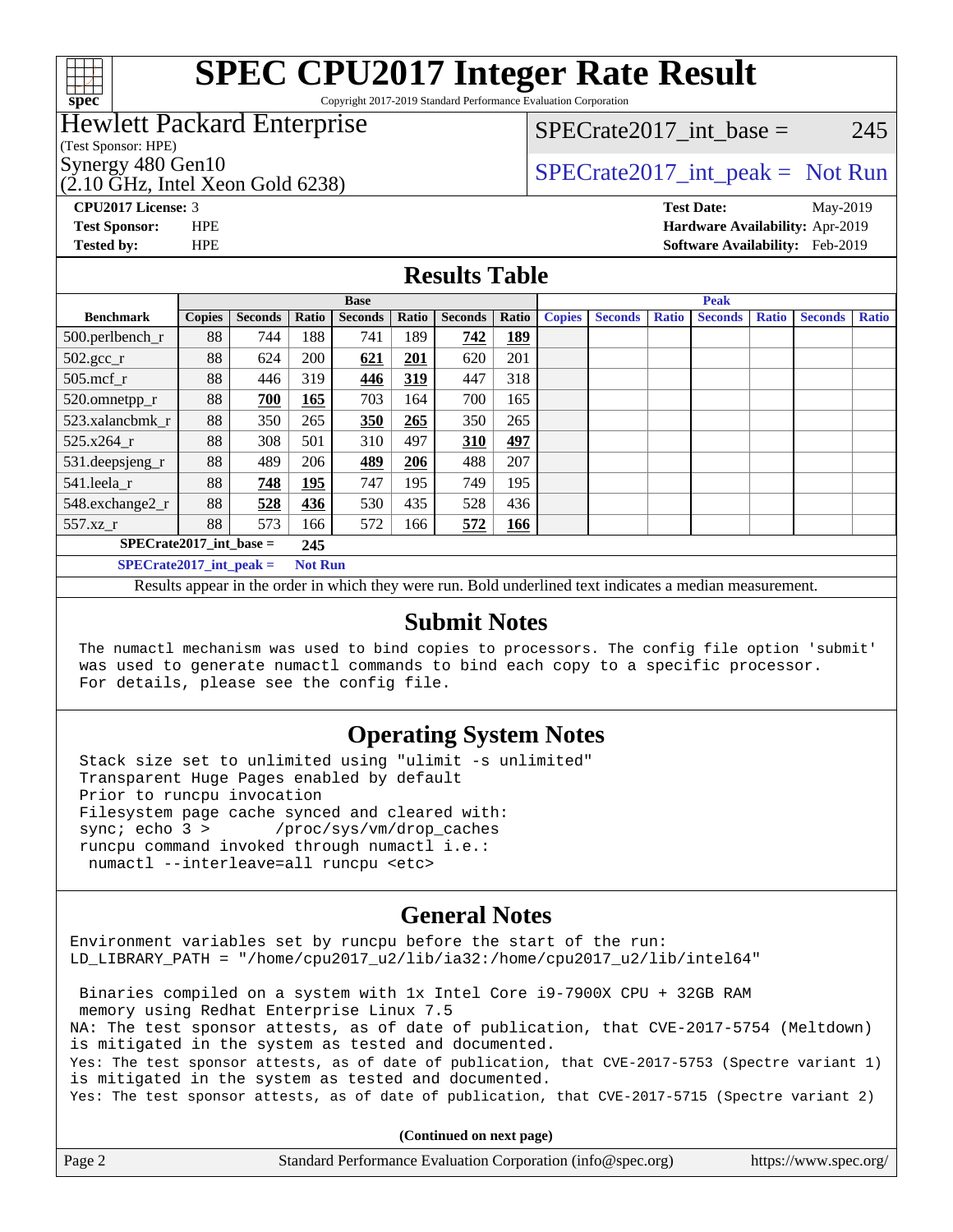

Copyright 2017-2019 Standard Performance Evaluation Corporation

#### Hewlett Packard Enterprise

(Test Sponsor: HPE)

 $(2.10 \text{ GHz}, \text{Intel Xeon}$  Gold 6238)

SPECrate  $2017$  int base = 245

### Synergy 480 Gen10<br>  $SPECrate2017$ \_int\_peak = Not Run

**[CPU2017 License:](http://www.spec.org/auto/cpu2017/Docs/result-fields.html#CPU2017License)** 3 **[Test Date:](http://www.spec.org/auto/cpu2017/Docs/result-fields.html#TestDate)** May-2019 **[Test Sponsor:](http://www.spec.org/auto/cpu2017/Docs/result-fields.html#TestSponsor)** HPE **[Hardware Availability:](http://www.spec.org/auto/cpu2017/Docs/result-fields.html#HardwareAvailability)** Apr-2019 **[Tested by:](http://www.spec.org/auto/cpu2017/Docs/result-fields.html#Testedby)** HPE **[Software Availability:](http://www.spec.org/auto/cpu2017/Docs/result-fields.html#SoftwareAvailability)** Feb-2019

#### **[Results Table](http://www.spec.org/auto/cpu2017/Docs/result-fields.html#ResultsTable)**

|                           | <b>Base</b>   |                |                |                |       |                | <b>Peak</b> |               |                |              |                |              |                |              |
|---------------------------|---------------|----------------|----------------|----------------|-------|----------------|-------------|---------------|----------------|--------------|----------------|--------------|----------------|--------------|
| <b>Benchmark</b>          | <b>Copies</b> | <b>Seconds</b> | Ratio          | <b>Seconds</b> | Ratio | <b>Seconds</b> | Ratio       | <b>Copies</b> | <b>Seconds</b> | <b>Ratio</b> | <b>Seconds</b> | <b>Ratio</b> | <b>Seconds</b> | <b>Ratio</b> |
| 500.perlbench_r           | 88            | 744            | 188            | 741            | 189   | 742            | <u>189</u>  |               |                |              |                |              |                |              |
| $502.\text{gcc}_r$        | 88            | 624            | 200            | 621            | 201   | 620            | 201         |               |                |              |                |              |                |              |
| $505$ .mcf r              | 88            | 446            | 319            | 446            | 319   | 447            | 318         |               |                |              |                |              |                |              |
| 520.omnetpp_r             | 88            | 700            | 165            | 703            | 164   | 700            | 165         |               |                |              |                |              |                |              |
| 523.xalancbmk r           | 88            | 350            | 265            | 350            | 265   | 350            | 265         |               |                |              |                |              |                |              |
| 525.x264 r                | 88            | 308            | 501            | 310            | 497   | 310            | 497         |               |                |              |                |              |                |              |
| 531.deepsjeng_r           | 88            | 489            | 206            | 489            | 206   | 488            | 207         |               |                |              |                |              |                |              |
| 541.leela_r               | 88            | 748            | 195            | 747            | 195   | 749            | 195         |               |                |              |                |              |                |              |
| 548.exchange2_r           | 88            | 528            | 436            | 530            | 435   | 528            | 436         |               |                |              |                |              |                |              |
| 557.xz                    | 88            | 573            | 166            | 572            | 166   | 572            | 166         |               |                |              |                |              |                |              |
| $SPECrate2017$ int base = |               |                | 245            |                |       |                |             |               |                |              |                |              |                |              |
| $SPECrate2017$ int peak = |               |                | <b>Not Run</b> |                |       |                |             |               |                |              |                |              |                |              |

Results appear in the [order in which they were run](http://www.spec.org/auto/cpu2017/Docs/result-fields.html#RunOrder). Bold underlined text [indicates a median measurement](http://www.spec.org/auto/cpu2017/Docs/result-fields.html#Median).

#### **[Submit Notes](http://www.spec.org/auto/cpu2017/Docs/result-fields.html#SubmitNotes)**

 The numactl mechanism was used to bind copies to processors. The config file option 'submit' was used to generate numactl commands to bind each copy to a specific processor. For details, please see the config file.

#### **[Operating System Notes](http://www.spec.org/auto/cpu2017/Docs/result-fields.html#OperatingSystemNotes)**

 Stack size set to unlimited using "ulimit -s unlimited" Transparent Huge Pages enabled by default Prior to runcpu invocation Filesystem page cache synced and cleared with: sync; echo 3 > /proc/sys/vm/drop\_caches runcpu command invoked through numactl i.e.: numactl --interleave=all runcpu <etc>

#### **[General Notes](http://www.spec.org/auto/cpu2017/Docs/result-fields.html#GeneralNotes)**

Environment variables set by runcpu before the start of the run: LD\_LIBRARY\_PATH = "/home/cpu2017\_u2/lib/ia32:/home/cpu2017\_u2/lib/intel64"

 Binaries compiled on a system with 1x Intel Core i9-7900X CPU + 32GB RAM memory using Redhat Enterprise Linux 7.5 NA: The test sponsor attests, as of date of publication, that CVE-2017-5754 (Meltdown) is mitigated in the system as tested and documented. Yes: The test sponsor attests, as of date of publication, that CVE-2017-5753 (Spectre variant 1) is mitigated in the system as tested and documented. Yes: The test sponsor attests, as of date of publication, that CVE-2017-5715 (Spectre variant 2)

**(Continued on next page)**

| Page 2 | Standard Performance Evaluation Corporation (info@spec.org) | https://www.spec.org/ |
|--------|-------------------------------------------------------------|-----------------------|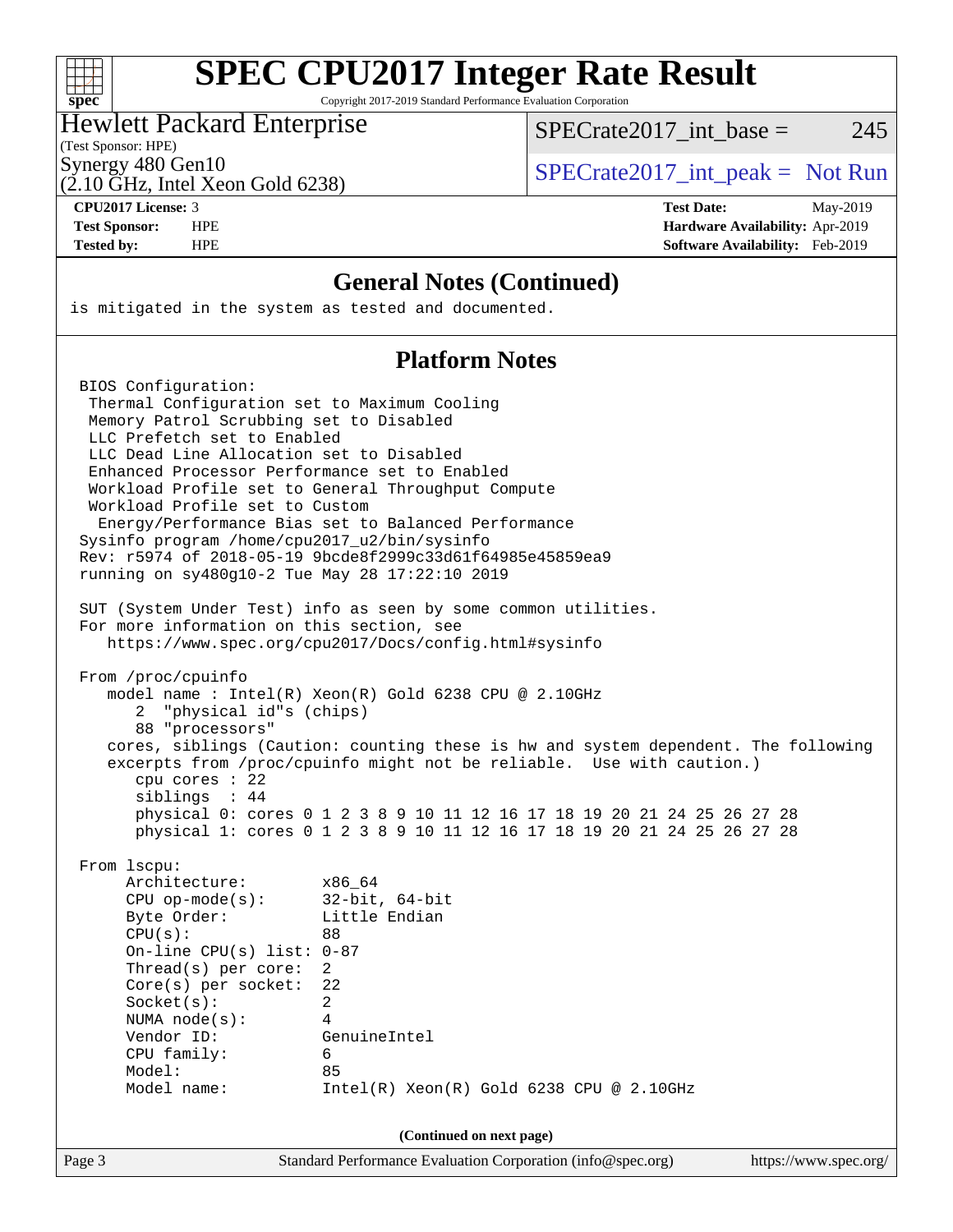| S.<br>r, | 0e | Ľ |  |
|----------|----|---|--|

Copyright 2017-2019 Standard Performance Evaluation Corporation

#### Hewlett Packard Enterprise

SPECrate  $2017$  int base = 245

(Test Sponsor: HPE)

(2.10 GHz, Intel Xeon Gold 6238)

Synergy 480 Gen10  $S^{perg}$  [SPECrate2017\\_int\\_peak =](http://www.spec.org/auto/cpu2017/Docs/result-fields.html#SPECrate2017intpeak) Not Run

**[CPU2017 License:](http://www.spec.org/auto/cpu2017/Docs/result-fields.html#CPU2017License)** 3 **[Test Date:](http://www.spec.org/auto/cpu2017/Docs/result-fields.html#TestDate)** May-2019 **[Test Sponsor:](http://www.spec.org/auto/cpu2017/Docs/result-fields.html#TestSponsor)** HPE **[Hardware Availability:](http://www.spec.org/auto/cpu2017/Docs/result-fields.html#HardwareAvailability)** Apr-2019 **[Tested by:](http://www.spec.org/auto/cpu2017/Docs/result-fields.html#Testedby)** HPE **[Software Availability:](http://www.spec.org/auto/cpu2017/Docs/result-fields.html#SoftwareAvailability)** Feb-2019

#### **[General Notes \(Continued\)](http://www.spec.org/auto/cpu2017/Docs/result-fields.html#GeneralNotes)**

is mitigated in the system as tested and documented.

#### **[Platform Notes](http://www.spec.org/auto/cpu2017/Docs/result-fields.html#PlatformNotes)**

Page 3 Standard Performance Evaluation Corporation [\(info@spec.org\)](mailto:info@spec.org) <https://www.spec.org/> BIOS Configuration: Thermal Configuration set to Maximum Cooling Memory Patrol Scrubbing set to Disabled LLC Prefetch set to Enabled LLC Dead Line Allocation set to Disabled Enhanced Processor Performance set to Enabled Workload Profile set to General Throughput Compute Workload Profile set to Custom Energy/Performance Bias set to Balanced Performance Sysinfo program /home/cpu2017\_u2/bin/sysinfo Rev: r5974 of 2018-05-19 9bcde8f2999c33d61f64985e45859ea9 running on sy480g10-2 Tue May 28 17:22:10 2019 SUT (System Under Test) info as seen by some common utilities. For more information on this section, see <https://www.spec.org/cpu2017/Docs/config.html#sysinfo> From /proc/cpuinfo model name : Intel(R) Xeon(R) Gold 6238 CPU @ 2.10GHz 2 "physical id"s (chips) 88 "processors" cores, siblings (Caution: counting these is hw and system dependent. The following excerpts from /proc/cpuinfo might not be reliable. Use with caution.) cpu cores : 22 siblings : 44 physical 0: cores 0 1 2 3 8 9 10 11 12 16 17 18 19 20 21 24 25 26 27 28 physical 1: cores 0 1 2 3 8 9 10 11 12 16 17 18 19 20 21 24 25 26 27 28 From lscpu: Architecture: x86\_64 CPU op-mode(s): 32-bit, 64-bit Byte Order: Little Endian  $CPU(s):$  88 On-line CPU(s) list: 0-87 Thread(s) per core: 2 Core(s) per socket: 22 Socket(s): 2 NUMA node(s): 4 Vendor ID: GenuineIntel CPU family: 6 Model: 85 Model name: Intel(R) Xeon(R) Gold 6238 CPU @ 2.10GHz **(Continued on next page)**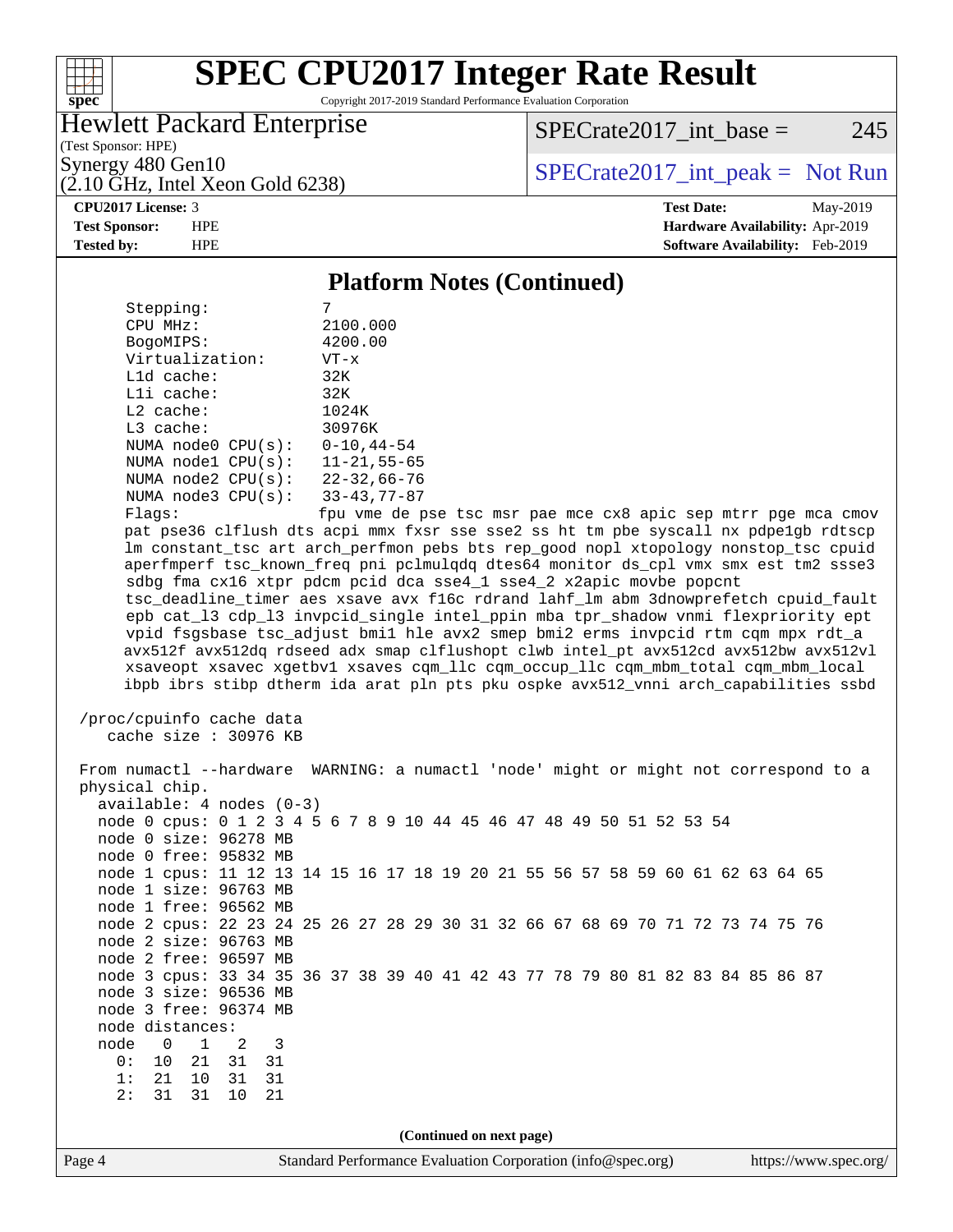

Copyright 2017-2019 Standard Performance Evaluation Corporation

#### Hewlett Packard Enterprise

(2.10 GHz, Intel Xeon Gold 6238)

 $SPECrate2017\_int\_base = 245$ 

(Test Sponsor: HPE)

Synergy 480 Gen10  $S^{perg}$  [SPECrate2017\\_int\\_peak =](http://www.spec.org/auto/cpu2017/Docs/result-fields.html#SPECrate2017intpeak) Not Run

**[Tested by:](http://www.spec.org/auto/cpu2017/Docs/result-fields.html#Testedby)** HPE **[Software Availability:](http://www.spec.org/auto/cpu2017/Docs/result-fields.html#SoftwareAvailability)** Feb-2019

**[CPU2017 License:](http://www.spec.org/auto/cpu2017/Docs/result-fields.html#CPU2017License)** 3 **[Test Date:](http://www.spec.org/auto/cpu2017/Docs/result-fields.html#TestDate)** May-2019 **[Test Sponsor:](http://www.spec.org/auto/cpu2017/Docs/result-fields.html#TestSponsor)** HPE **[Hardware Availability:](http://www.spec.org/auto/cpu2017/Docs/result-fields.html#HardwareAvailability)** Apr-2019

#### **[Platform Notes \(Continued\)](http://www.spec.org/auto/cpu2017/Docs/result-fields.html#PlatformNotes)**

| Stepping:              |                    |
|------------------------|--------------------|
| CPU MHz:               | 2100.000           |
| BogoMIPS:              | 4200.00            |
| Virtualization:        | $VT - x$           |
| $L1d$ cache:           | 32K                |
| $L1i$ cache:           | 32K                |
| $L2$ cache:            | 1024K              |
| $L3$ cache:            | 30976K             |
| NUMA $node0$ $CPU(s):$ | $0 - 10, 44 - 54$  |
| NUMA nodel CPU(s):     | $11 - 21, 55 - 65$ |
| NUMA node2 CPU(s):     | $22 - 32,66 - 76$  |
| NUMA node3 CPU(s):     | $33 - 43, 77 - 87$ |
| Flags:                 | fnu vme de r       |

 Flags: fpu vme de pse tsc msr pae mce cx8 apic sep mtrr pge mca cmov pat pse36 clflush dts acpi mmx fxsr sse sse2 ss ht tm pbe syscall nx pdpe1gb rdtscp lm constant\_tsc art arch\_perfmon pebs bts rep\_good nopl xtopology nonstop\_tsc cpuid aperfmperf tsc\_known\_freq pni pclmulqdq dtes64 monitor ds\_cpl vmx smx est tm2 ssse3 sdbg fma cx16 xtpr pdcm pcid dca sse4\_1 sse4\_2 x2apic movbe popcnt tsc\_deadline\_timer aes xsave avx f16c rdrand lahf\_lm abm 3dnowprefetch cpuid\_fault epb cat\_l3 cdp\_l3 invpcid\_single intel\_ppin mba tpr\_shadow vnmi flexpriority ept vpid fsgsbase tsc\_adjust bmi1 hle avx2 smep bmi2 erms invpcid rtm cqm mpx rdt\_a avx512f avx512dq rdseed adx smap clflushopt clwb intel\_pt avx512cd avx512bw avx512vl xsaveopt xsavec xgetbv1 xsaves cqm\_llc cqm\_occup\_llc cqm\_mbm\_total cqm\_mbm\_local ibpb ibrs stibp dtherm ida arat pln pts pku ospke avx512\_vnni arch\_capabilities ssbd

```
 /proc/cpuinfo cache data
   cache size : 30976 KB
```
Page 4 Standard Performance Evaluation Corporation [\(info@spec.org\)](mailto:info@spec.org) <https://www.spec.org/> From numactl --hardware WARNING: a numactl 'node' might or might not correspond to a physical chip. available: 4 nodes (0-3) node 0 cpus: 0 1 2 3 4 5 6 7 8 9 10 44 45 46 47 48 49 50 51 52 53 54 node 0 size: 96278 MB node 0 free: 95832 MB node 1 cpus: 11 12 13 14 15 16 17 18 19 20 21 55 56 57 58 59 60 61 62 63 64 65 node 1 size: 96763 MB node 1 free: 96562 MB node 2 cpus: 22 23 24 25 26 27 28 29 30 31 32 66 67 68 69 70 71 72 73 74 75 76 node 2 size: 96763 MB node 2 free: 96597 MB node 3 cpus: 33 34 35 36 37 38 39 40 41 42 43 77 78 79 80 81 82 83 84 85 86 87 node 3 size: 96536 MB node 3 free: 96374 MB node distances: node 0 1 2 3 0: 10 21 31 31 1: 21 10 31 31 2: 31 31 10 21 **(Continued on next page)**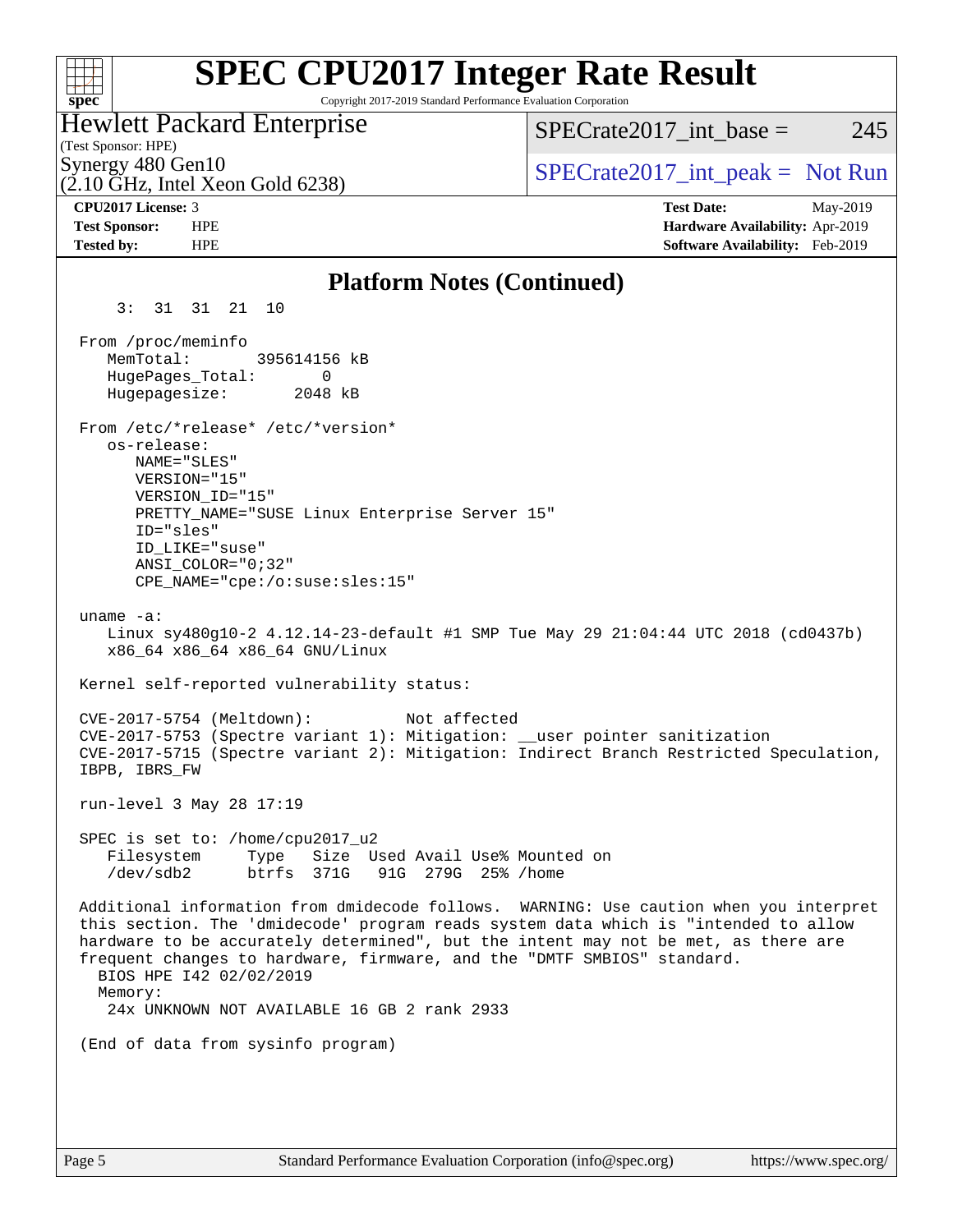| <b>SPEC CPU2017 Integer Rate Result</b><br>Copyright 2017-2019 Standard Performance Evaluation Corporation<br>spec <sup>®</sup>                                                                                                                                                                                                                                                                                                     |                                                                                                     |
|-------------------------------------------------------------------------------------------------------------------------------------------------------------------------------------------------------------------------------------------------------------------------------------------------------------------------------------------------------------------------------------------------------------------------------------|-----------------------------------------------------------------------------------------------------|
| <b>Hewlett Packard Enterprise</b><br>(Test Sponsor: HPE)                                                                                                                                                                                                                                                                                                                                                                            | 245<br>$SPECrate2017\_int\_base =$                                                                  |
| Synergy 480 Gen10<br>$(2.10 \text{ GHz}, \text{Intel Xeon Gold } 6238)$                                                                                                                                                                                                                                                                                                                                                             | $SPECrate2017\_int\_peak = Not Run$                                                                 |
| CPU2017 License: 3<br><b>Test Sponsor:</b><br><b>HPE</b><br><b>Tested by:</b><br><b>HPE</b>                                                                                                                                                                                                                                                                                                                                         | <b>Test Date:</b><br>May-2019<br>Hardware Availability: Apr-2019<br>Software Availability: Feb-2019 |
| <b>Platform Notes (Continued)</b>                                                                                                                                                                                                                                                                                                                                                                                                   |                                                                                                     |
| 3:3131<br>10<br>21                                                                                                                                                                                                                                                                                                                                                                                                                  |                                                                                                     |
| From /proc/meminfo<br>MemTotal:<br>395614156 kB<br>HugePages_Total:<br>0<br>Hugepagesize:<br>2048 kB                                                                                                                                                                                                                                                                                                                                |                                                                                                     |
| From /etc/*release* /etc/*version*<br>os-release:<br>NAME="SLES"<br>VERSION="15"<br>VERSION_ID="15"<br>PRETTY_NAME="SUSE Linux Enterprise Server 15"<br>ID="sles"<br>ID LIKE="suse"<br>$ANSI$ _COLOR="0;32"<br>CPE_NAME="cpe:/o:suse:sles:15"                                                                                                                                                                                       |                                                                                                     |
| uname $-a$ :<br>Linux sy480g10-2 4.12.14-23-default #1 SMP Tue May 29 21:04:44 UTC 2018 (cd0437b)<br>x86_64 x86_64 x86_64 GNU/Linux                                                                                                                                                                                                                                                                                                 |                                                                                                     |
| Kernel self-reported vulnerability status:                                                                                                                                                                                                                                                                                                                                                                                          |                                                                                                     |
| Not affected<br>$CVE-2017-5754$ (Meltdown):<br>CVE-2017-5753 (Spectre variant 1): Mitigation: __user pointer sanitization<br>CVE-2017-5715 (Spectre variant 2): Mitigation: Indirect Branch Restricted Speculation,<br>IBPB, IBRS FW                                                                                                                                                                                                |                                                                                                     |
| run-level 3 May 28 17:19                                                                                                                                                                                                                                                                                                                                                                                                            |                                                                                                     |
| SPEC is set to: /home/cpu2017_u2<br>Size Used Avail Use% Mounted on<br>Filesystem<br>Type<br>/dev/sdb2<br>btrfs 371G<br>91G 279G 25% / home                                                                                                                                                                                                                                                                                         |                                                                                                     |
| Additional information from dmidecode follows. WARNING: Use caution when you interpret<br>this section. The 'dmidecode' program reads system data which is "intended to allow<br>hardware to be accurately determined", but the intent may not be met, as there are<br>frequent changes to hardware, firmware, and the "DMTF SMBIOS" standard.<br>BIOS HPE 142 02/02/2019<br>Memory:<br>24x UNKNOWN NOT AVAILABLE 16 GB 2 rank 2933 |                                                                                                     |
| (End of data from sysinfo program)                                                                                                                                                                                                                                                                                                                                                                                                  |                                                                                                     |
|                                                                                                                                                                                                                                                                                                                                                                                                                                     |                                                                                                     |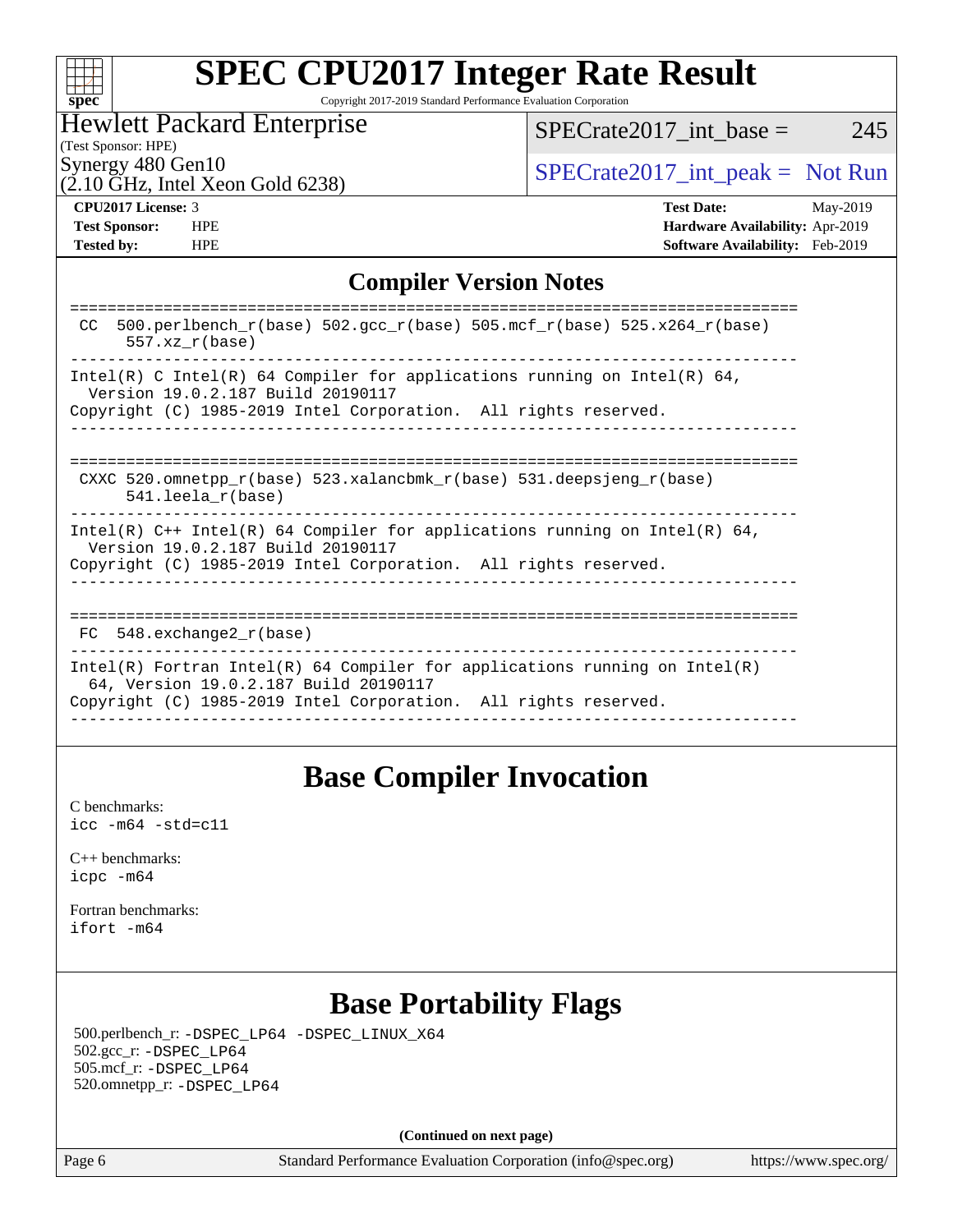| Sì | ı<br>U | ť | C |  |
|----|--------|---|---|--|

Copyright 2017-2019 Standard Performance Evaluation Corporation

### Hewlett Packard Enterprise

Synergy 480 Gen10<br>  $SPECrate2017_$ int\_peak = Not Run  $SPECTate2017\_int\_base = 245$ 

 $(2.10 \text{ GHz}, \text{Intel Xeon Gold } 6238)$ 

(Test Sponsor: HPE)

**[Tested by:](http://www.spec.org/auto/cpu2017/Docs/result-fields.html#Testedby)** HPE **[Software Availability:](http://www.spec.org/auto/cpu2017/Docs/result-fields.html#SoftwareAvailability)** Feb-2019

**[CPU2017 License:](http://www.spec.org/auto/cpu2017/Docs/result-fields.html#CPU2017License)** 3 **[Test Date:](http://www.spec.org/auto/cpu2017/Docs/result-fields.html#TestDate)** May-2019 **[Test Sponsor:](http://www.spec.org/auto/cpu2017/Docs/result-fields.html#TestSponsor)** HPE **[Hardware Availability:](http://www.spec.org/auto/cpu2017/Docs/result-fields.html#HardwareAvailability)** Apr-2019

#### **[Compiler Version Notes](http://www.spec.org/auto/cpu2017/Docs/result-fields.html#CompilerVersionNotes)**

| 500.perlbench $r(base)$ 502.qcc $r(base)$ 505.mcf $r(base)$ 525.x264 $r(base)$<br>CC.<br>$557.xx$ $r(base)$                                                                              |
|------------------------------------------------------------------------------------------------------------------------------------------------------------------------------------------|
| Intel(R) C Intel(R) 64 Compiler for applications running on Intel(R) 64,<br>Version 19.0.2.187 Build 20190117<br>Copyright (C) 1985-2019 Intel Corporation. All rights reserved.         |
| CXXC 520.omnetpp $r(base)$ 523.xalancbmk $r(base)$ 531.deepsjeng $r(base)$<br>$541.$ leela r(base)                                                                                       |
| Intel(R) $C++$ Intel(R) 64 Compiler for applications running on Intel(R) 64,<br>Version 19.0.2.187 Build 20190117<br>Copyright (C) 1985-2019 Intel Corporation. All rights reserved.     |
| FC 548. exchange2 r(base)                                                                                                                                                                |
| $Intel(R)$ Fortran Intel(R) 64 Compiler for applications running on Intel(R)<br>64, Version 19.0.2.187 Build 20190117<br>Copyright (C) 1985-2019 Intel Corporation. All rights reserved. |
|                                                                                                                                                                                          |

### **[Base Compiler Invocation](http://www.spec.org/auto/cpu2017/Docs/result-fields.html#BaseCompilerInvocation)**

[C benchmarks](http://www.spec.org/auto/cpu2017/Docs/result-fields.html#Cbenchmarks): [icc -m64 -std=c11](http://www.spec.org/cpu2017/results/res2019q3/cpu2017-20190624-15602.flags.html#user_CCbase_intel_icc_64bit_c11_33ee0cdaae7deeeab2a9725423ba97205ce30f63b9926c2519791662299b76a0318f32ddfffdc46587804de3178b4f9328c46fa7c2b0cd779d7a61945c91cd35)

[C++ benchmarks:](http://www.spec.org/auto/cpu2017/Docs/result-fields.html#CXXbenchmarks) [icpc -m64](http://www.spec.org/cpu2017/results/res2019q3/cpu2017-20190624-15602.flags.html#user_CXXbase_intel_icpc_64bit_4ecb2543ae3f1412ef961e0650ca070fec7b7afdcd6ed48761b84423119d1bf6bdf5cad15b44d48e7256388bc77273b966e5eb805aefd121eb22e9299b2ec9d9)

[Fortran benchmarks](http://www.spec.org/auto/cpu2017/Docs/result-fields.html#Fortranbenchmarks): [ifort -m64](http://www.spec.org/cpu2017/results/res2019q3/cpu2017-20190624-15602.flags.html#user_FCbase_intel_ifort_64bit_24f2bb282fbaeffd6157abe4f878425411749daecae9a33200eee2bee2fe76f3b89351d69a8130dd5949958ce389cf37ff59a95e7a40d588e8d3a57e0c3fd751)

### **[Base Portability Flags](http://www.spec.org/auto/cpu2017/Docs/result-fields.html#BasePortabilityFlags)**

 500.perlbench\_r: [-DSPEC\\_LP64](http://www.spec.org/cpu2017/results/res2019q3/cpu2017-20190624-15602.flags.html#b500.perlbench_r_basePORTABILITY_DSPEC_LP64) [-DSPEC\\_LINUX\\_X64](http://www.spec.org/cpu2017/results/res2019q3/cpu2017-20190624-15602.flags.html#b500.perlbench_r_baseCPORTABILITY_DSPEC_LINUX_X64) 502.gcc\_r: [-DSPEC\\_LP64](http://www.spec.org/cpu2017/results/res2019q3/cpu2017-20190624-15602.flags.html#suite_basePORTABILITY502_gcc_r_DSPEC_LP64) 505.mcf\_r: [-DSPEC\\_LP64](http://www.spec.org/cpu2017/results/res2019q3/cpu2017-20190624-15602.flags.html#suite_basePORTABILITY505_mcf_r_DSPEC_LP64) 520.omnetpp\_r: [-DSPEC\\_LP64](http://www.spec.org/cpu2017/results/res2019q3/cpu2017-20190624-15602.flags.html#suite_basePORTABILITY520_omnetpp_r_DSPEC_LP64)

**(Continued on next page)**

Page 6 Standard Performance Evaluation Corporation [\(info@spec.org\)](mailto:info@spec.org) <https://www.spec.org/>